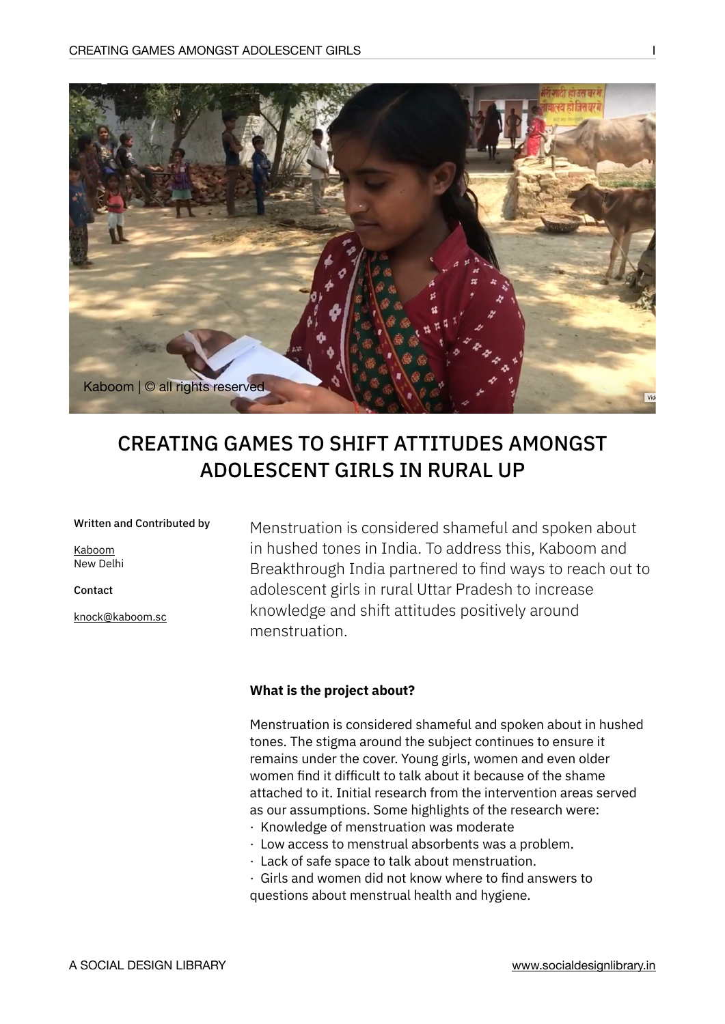

# CREATING GAMES TO SHIFT ATTITUDES AMONGST ADOLESCENT GIRLS IN RURAL UP

#### Written and Contributed by

[Kaboom](http://www.kaboomsocialchange.com/) New Delhi

Contact

[knock@kaboom.sc](mailto:knock@kaboom.sc)

Menstruation is considered shameful and spoken about in hushed tones in India. To address this, Kaboom and Breakthrough India partnered to find ways to reach out to adolescent girls in rural Uttar Pradesh to increase knowledge and shift attitudes positively around menstruation.

# **What is the project about?**

Menstruation is considered shameful and spoken about in hushed tones. The stigma around the subject continues to ensure it remains under the cover. Young girls, women and even older women find it difficult to talk about it because of the shame attached to it. Initial research from the intervention areas served as our assumptions. Some highlights of the research were:

- · Knowledge of menstruation was moderate
- · Low access to menstrual absorbents was a problem.
- · Lack of safe space to talk about menstruation.

· Girls and women did not know where to find answers to questions about menstrual health and hygiene.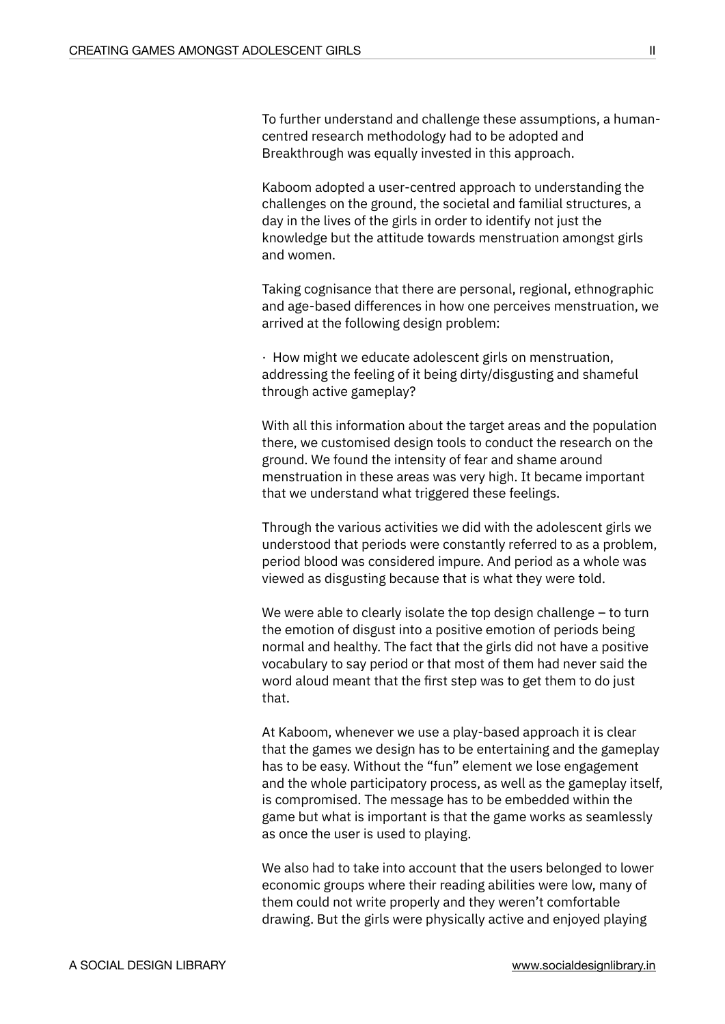To further understand and challenge these assumptions, a humancentred research methodology had to be adopted and Breakthrough was equally invested in this approach.

Kaboom adopted a user-centred approach to understanding the challenges on the ground, the societal and familial structures, a day in the lives of the girls in order to identify not just the knowledge but the attitude towards menstruation amongst girls and women.

Taking cognisance that there are personal, regional, ethnographic and age-based differences in how one perceives menstruation, we arrived at the following design problem:

· How might we educate adolescent girls on menstruation, addressing the feeling of it being dirty/disgusting and shameful through active gameplay?

With all this information about the target areas and the population there, we customised design tools to conduct the research on the ground. We found the intensity of fear and shame around menstruation in these areas was very high. It became important that we understand what triggered these feelings.

Through the various activities we did with the adolescent girls we understood that periods were constantly referred to as a problem, period blood was considered impure. And period as a whole was viewed as disgusting because that is what they were told.

We were able to clearly isolate the top design challenge – to turn the emotion of disgust into a positive emotion of periods being normal and healthy. The fact that the girls did not have a positive vocabulary to say period or that most of them had never said the word aloud meant that the first step was to get them to do just that.

At Kaboom, whenever we use a play-based approach it is clear that the games we design has to be entertaining and the gameplay has to be easy. Without the "fun" element we lose engagement and the whole participatory process, as well as the gameplay itself, is compromised. The message has to be embedded within the game but what is important is that the game works as seamlessly as once the user is used to playing.

We also had to take into account that the users belonged to lower economic groups where their reading abilities were low, many of them could not write properly and they weren't comfortable drawing. But the girls were physically active and enjoyed playing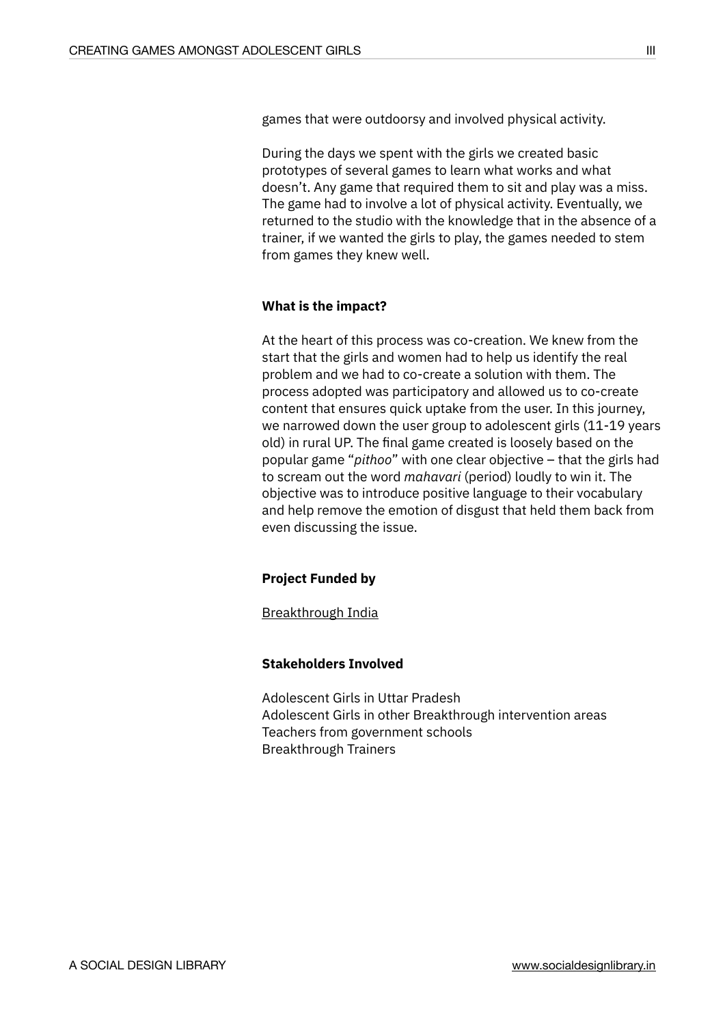games that were outdoorsy and involved physical activity.

During the days we spent with the girls we created basic prototypes of several games to learn what works and what doesn't. Any game that required them to sit and play was a miss. The game had to involve a lot of physical activity. Eventually, we returned to the studio with the knowledge that in the absence of a trainer, if we wanted the girls to play, the games needed to stem from games they knew well.

### **What is the impact?**

At the heart of this process was co-creation. We knew from the start that the girls and women had to help us identify the real problem and we had to co-create a solution with them. The process adopted was participatory and allowed us to co-create content that ensures quick uptake from the user. In this journey, we narrowed down the user group to adolescent girls (11-19 years old) in rural UP. The final game created is loosely based on the popular game "*pithoo*" with one clear objective – that the girls had to scream out the word *mahavari* (period) loudly to win it. The objective was to introduce positive language to their vocabulary and help remove the emotion of disgust that held them back from even discussing the issue.

# **Project Funded by**

[Breakthrough India](https://inbreakthrough.org/)

# **Stakeholders Involved**

Adolescent Girls in Uttar Pradesh Adolescent Girls in other Breakthrough intervention areas Teachers from government schools Breakthrough Trainers